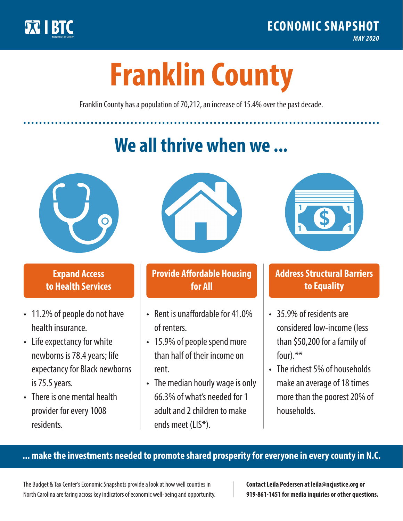

**1**

# **Franklin County**

Franklin County has a population of 70,212, an increase of 15.4% over the past decade.

# **We all thrive when we ...**



**\$ <sup>1</sup>**

**\$ <sup>1</sup>**

### **Expand Access to Health Services**

- 11.2% of people do not have health insurance.
- Life expectancy for white newborns is 78.4years; life expectancy for Black newborns is 75.5 years.
- There is one mental health provider for every 1008 residents.



## **Provide Affordable Housing for All**

- Rent is unaffordable for 41 0% of renters.
- 15.9% of people spend more than half of their income on rent.
- The median hourly wage is only 66.3% of what's needed for 1 adult and 2 children to make ends meet (LIS\*).



### **Address Structural Barriers to Equality**

- 35.9% of residents are considered low-income (less than \$50,200 for a family of four).\*\*
- The richest 5% of households make an average of 18 times more than the poorest 20% of households.

#### **... make the investments needed to promote shared prosperity for everyone in every county in N.C.**

The Budget & Tax Center's Economic Snapshots provide a look at how well counties in North Carolina are faring across key indicators of economic well-being and opportunity.